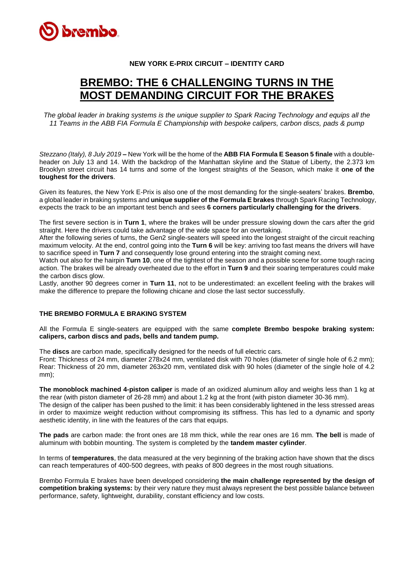

## **NEW YORK E-PRIX CIRCUIT – IDENTITY CARD**

## **BREMBO: THE 6 CHALLENGING TURNS IN THE MOST DEMANDING CIRCUIT FOR THE BRAKES**

*The global leader in braking systems is the unique supplier to Spark Racing Technology and equips all the 11 Teams in the ABB FIA Formula E Championship with bespoke calipers, carbon discs, pads & pump*

*Stezzano (Italy), 8 July 2019* **–** New York will be the home of the **ABB FIA Formula E Season 5 finale** with a doubleheader on July 13 and 14. With the backdrop of the Manhattan skyline and the Statue of Liberty, the 2.373 km Brooklyn street circuit has 14 turns and some of the longest straights of the Season, which make it **one of the toughest for the drivers**.

Given its features, the New York E-Prix is also one of the most demanding for the single-seaters' brakes. **Brembo**, a global leader in braking systems and **unique supplier of the Formula E brakes** through Spark Racing Technology, expects the track to be an important test bench and sees **6 corners particularly challenging for the drivers**.

The first severe section is in **Turn 1**, where the brakes will be under pressure slowing down the cars after the grid straight. Here the drivers could take advantage of the wide space for an overtaking.

After the following series of turns, the Gen2 single-seaters will speed into the longest straight of the circuit reaching maximum velocity. At the end, control going into the **Turn 6** will be key: arriving too fast means the drivers will have to sacrifice speed in **Turn 7** and consequently lose ground entering into the straight coming next.

Watch out also for the hairpin **Turn 10**, one of the tightest of the season and a possible scene for some tough racing action. The brakes will be already overheated due to the effort in **Turn 9** and their soaring temperatures could make the carbon discs glow.

Lastly, another 90 degrees corner in **Turn 11**, not to be underestimated: an excellent feeling with the brakes will make the difference to prepare the following chicane and close the last sector successfully.

## **THE BREMBO FORMULA E BRAKING SYSTEM**

All the Formula E single-seaters are equipped with the same **complete Brembo bespoke braking system: calipers, carbon discs and pads, bells and tandem pump.**

The **discs** are carbon made, specifically designed for the needs of full electric cars.

Front: Thickness of 24 mm, diameter 278x24 mm, ventilated disk with 70 holes (diameter of single hole of 6.2 mm); Rear: Thickness of 20 mm, diameter 263x20 mm, ventilated disk with 90 holes (diameter of the single hole of 4.2 mm);

**The monoblock machined 4-piston caliper** is made of an oxidized aluminum alloy and weighs less than 1 kg at the rear (with piston diameter of 26-28 mm) and about 1.2 kg at the front (with piston diameter 30-36 mm).

The design of the caliper has been pushed to the limit: it has been considerably lightened in the less stressed areas in order to maximize weight reduction without compromising its stiffness. This has led to a dynamic and sporty aesthetic identity, in line with the features of the cars that equips.

**The pads** are carbon made: the front ones are 18 mm thick, while the rear ones are 16 mm. **The bell** is made of aluminum with bobbin mounting. The system is completed by the **tandem master cylinder**.

In terms of **temperatures**, the data measured at the very beginning of the braking action have shown that the discs can reach temperatures of 400-500 degrees, with peaks of 800 degrees in the most rough situations.

Brembo Formula E brakes have been developed considering **the main challenge represented by the design of competition braking systems:** by their very nature they must always represent the best possible balance between performance, safety, lightweight, durability, constant efficiency and low costs.